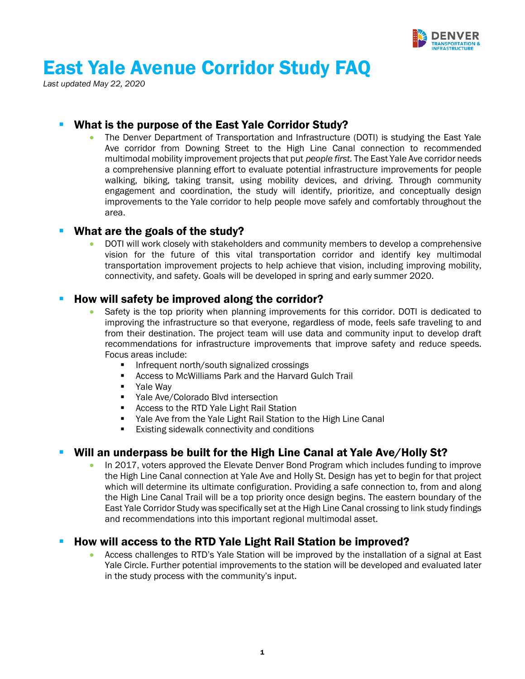

# East Yale Avenue Corridor Study FAQ

*Last updated May 22, 2020* 

# What is the purpose of the East Yale Corridor Study?

• The Denver Department of Transportation and Infrastructure (DOTI) is studying the East Yale Ave corridor from Downing Street to the High Line Canal connection to recommended multimodal mobility improvement projects that put *people first.* The East Yale Ave corridor needs a comprehensive planning effort to evaluate potential infrastructure improvements for people walking, biking, taking transit, using mobility devices, and driving. Through community engagement and coordination, the study will identify, prioritize, and conceptually design improvements to the Yale corridor to help people move safely and comfortably throughout the area.

#### ■ What are the goals of the study?

• DOTI will work closely with stakeholders and community members to develop a comprehensive vision for the future of this vital transportation corridor and identify key multimodal transportation improvement projects to help achieve that vision, including improving mobility, connectivity, and safety. Goals will be developed in spring and early summer 2020.

# How will safety be improved along the corridor?

- Safety is the top priority when planning improvements for this corridor. DOTI is dedicated to improving the infrastructure so that everyone, regardless of mode, feels safe traveling to and from their destination. The project team will use data and community input to develop draft recommendations for infrastructure improvements that improve safety and reduce speeds. Focus areas include:
	- Infrequent north/south signalized crossings
	- Access to McWilliams Park and the Harvard Gulch Trail
	- Yale Way
	- Yale Ave/Colorado Blvd intersection
	- Access to the RTD Yale Light Rail Station
	- Yale Ave from the Yale Light Rail Station to the High Line Canal
	- Existing sidewalk connectivity and conditions

# Will an underpass be built for the High Line Canal at Yale Ave/Holly St?

• In 2017, voters approved the Elevate Denver Bond Program which includes funding to improve the High Line Canal connection at Yale Ave and Holly St. Design has yet to begin for that project which will determine its ultimate configuration. Providing a safe connection to, from and along the High Line Canal Trail will be a top priority once design begins. The eastern boundary of the East Yale Corridor Study was specifically set at the High Line Canal crossing to link study findings and recommendations into this important regional multimodal asset.

# ▪ How will access to the RTD Yale Light Rail Station be improved?

• Access challenges to RTD's Yale Station will be improved by the installation of a signal at East Yale Circle. Further potential improvements to the station will be developed and evaluated later in the study process with the community's input.